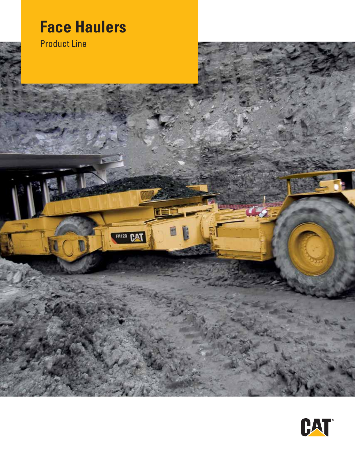# **Face Haulers**

FH120 CAT

Product Line

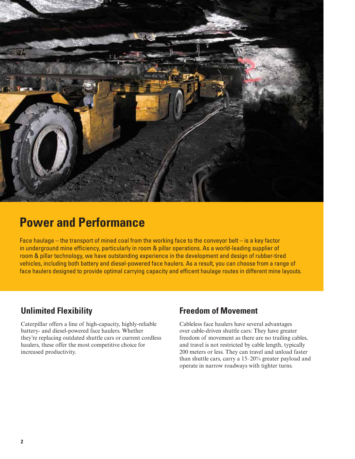

## **Power and Performance**

Face haulage – the transport of mined coal from the working face to the conveyor belt – is a key factor in underground mine efficiency, particularly in room & pillar operations. As a world-leading supplier of room & pillar technology, we have outstanding experience in the development and design of rubber-tired vehicles, including both battery and diesel-powered face haulers. As a result, you can choose from a range of face haulers designed to provide optimal carrying capacity and efficent haulage routes in different mine layouts.

### **Unlimited Flexibility**

Caterpillar offers a line of high-capacity, highly-reliable battery- and diesel-powered face haulers. Whether they're replacing outdated shuttle cars or current cordless haulers, these offer the most competitive choice for increased productivity.

### **Freedom of Movement**

Cableless face haulers have several advantages over cable-driven shuttle cars: They have greater freedom of movement as there are no trailing cables, and travel is not restricted by cable length, typically 200 meters or less. They can travel and unload faster than shuttle cars, carry a 15–20% greater payload and operate in narrow roadways with tighter turns.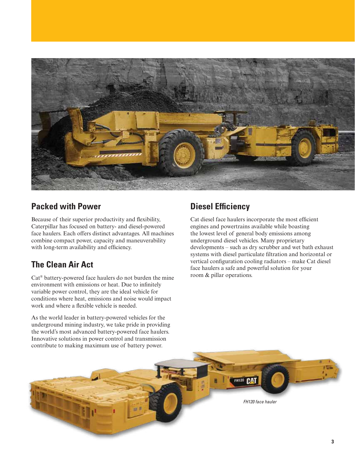

### **Packed with Power**

Because of their superior productivity and flexibility, Caterpillar has focused on battery- and diesel-powered face haulers. Each offers distinct advantages. All machines combine compact power, capacity and maneuverability with long-term availability and efficiency.

### **The Clean Air Act**

Cat® battery-powered face haulers do not burden the mine environment with emissions or heat. Due to infinitely variable power control, they are the ideal vehicle for conditions where heat, emissions and noise would impact work and where a flexible vehicle is needed.

As the world leader in battery-powered vehicles for the underground mining industry, we take pride in providing the world's most advanced battery-powered face haulers. Innovative solutions in power control and transmission

### **Diesel Efficiency**

Cat diesel face haulers incorporate the most efficient engines and powertrains available while boasting the lowest level of general body emissions among underground diesel vehicles. Many proprietary developments – such as dry scrubber and wet bath exhaust systems with diesel particulate filtration and horizontal or vertical configuration cooling radiators – make Cat diesel face haulers a safe and powerful solution for your room & pillar operations.

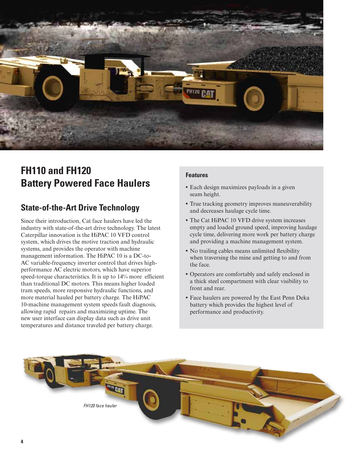

## **FH110 and FH120 Battery Powered Face Haulers**

### **State-of-the-Art Drive Technology**

Since their introduction, Cat face haulers have led the industry with state-of-the-art drive technology. The latest Caterpillar innovation is the HiPAC 10 VFD control system, which drives the motive traction and hydraulic systems, and provides the operator with machine management information. The HiPAC 10 is a DC-to-AC variable-frequency inverter control that drives highperformance AC electric motors, which have superior speed-torque characteristics. It is up to 14% more efficient than traditional DC motors. This means higher loaded tram speeds, more responsive hydraulic functions, and more material hauled per battery charge. The HiPAC 10-machine management system speeds fault diagnosis, allowing rapid repairs and maximizing uptime. The new user interface can display data such as drive unit temperatures and distance traveled per battery charge.

#### **Features**

- **•** Each design maximizes payloads in a given seam height.
- **•** True tracking geometry improves maneuverability and decreases haulage cycle time.
- **•** The Cat HiPAC 10 VFD drive system increases empty and loaded ground speed, improving haulage cycle time, delivering more work per battery charge and providing a machine management system.
- No trailing cables means unlimited flexibility when traversing the mine and getting to and from the face.
- **•** Operators are comfortably and safely enclosed in a thick steel compartment with clear visibility to front and rear.
- **•** Face haulers are powered by the East Penn Deka battery which provides the highest level of performance and productivity.

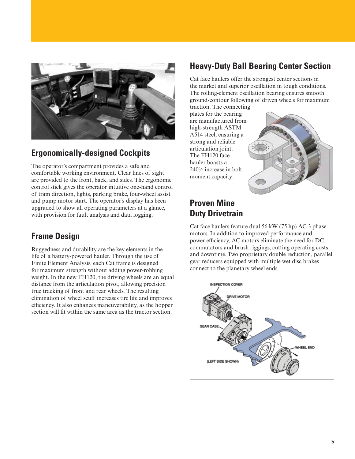

### **Ergonomically-designed Cockpits**

The operator's compartment provides a safe and comfortable working environment. Clear lines of sight are provided to the front, back, and sides. The ergonomic control stick gives the operator intuitive one-hand control of tram direction, lights, parking brake, four-wheel assist and pump motor start. The operator's display has been upgraded to show all operating parameters at a glance, with provision for fault analysis and data logging.

### **Frame Design**

Ruggedness and durability are the key elements in the life of a battery-powered hauler. Through the use of Finite Element Analysis, each Cat frame is designed for maximum strength without adding power-robbing weight. In the new FH120, the driving wheels are an equal distance from the articulation pivot, allowing precision true tracking of front and rear wheels. The resulting elimination of wheel scuff increases tire life and improves efficiency. It also enhances maneuverability, as the hopper section will fit within the same area as the tractor section.

### **Heavy-Duty Ball Bearing Center Section**

Cat face haulers offer the strongest center sections in the market and superior oscillation in tough conditions. The rolling-element oscillation bearing ensures smooth ground-contour following of driven wheels for maximum

traction. The connecting plates for the bearing are manufactured from high-strength ASTM A514 steel, ensuring a strong and reliable articulation joint. The FH120 face hauler boasts a 240% increase in bolt moment capacity.



### **Proven Mine Duty Drivetrain**

Cat face haulers feature dual 56 kW (75 hp) AC 3 phase motors. In addition to improved performance and power efficiency, AC motors eliminate the need for DC commutators and brush riggings, cutting operating costs and downtime. Two proprietary double reduction, parallel gear reducers equipped with multiple wet disc brakes connect to the planetary wheel ends.

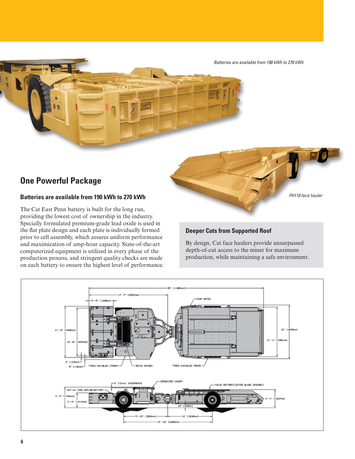*Batteries are available from 190 kWh to 270 kWh*

### **One Powerful Package**

#### **Batteries are available from 190 kWh to 270 kWh**

The Cat East Penn battery is built for the long run, providing the lowest cost of ownership in the industry. Specially formulated premium-grade lead oxide is used in the flat plate design and each plate is individually formed prior to cell assembly, which assures uniform performance and maximization of amp-hour capacity. State-of-the-art computerized equipment is utilized in every phase of the production process, and stringent quality checks are made on each battery to ensure the highest level of performance.



#### **Deeper Cuts from Supported Roof**

By design, Cat face haulers provide unsurpassed depth-of-cut access to the miner for maximum production, while maintaining a safe environment.

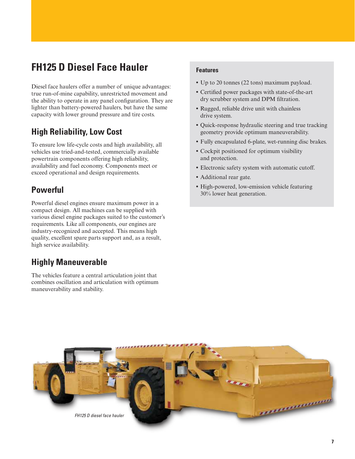## **FH125 D Diesel Face Hauler**

Diesel face haulers offer a number of unique advantages: true run-of-mine capability, unrestricted movement and the ability to operate in any panel configuration. They are lighter than battery-powered haulers, but have the same capacity with lower ground pressure and tire costs.

### **High Reliability, Low Cost**

To ensure low life-cycle costs and high availability, all vehicles use tried-and-tested, commercially available powertrain components offering high reliability, availability and fuel economy. Components meet or exceed operational and design requirements.

### **Powerful**

Powerful diesel engines ensure maximum power in a compact design. All machines can be supplied with various diesel engine packages suited to the customer's requirements. Like all components, our engines are industry-recognized and accepted. This means high quality, excellent spare parts support and, as a result, high service availability.

### **Highly Maneuverable**

The vehicles feature a central articulation joint that combines oscillation and articulation with optimum maneuverability and stability.

#### **Features**

- **•** Up to 20 tonnes (22 tons) maximum payload.
- **•** Certified power packages with state-of-the-art dry scrubber system and DPM filtration.
- **•** Rugged, reliable drive unit with chainless drive system.
- **•** Quick-response hydraulic steering and true tracking geometry provide optimum maneuverability.
- **•** Fully encapsulated 6-plate, wet-running disc brakes.
- **•** Cockpit positioned for optimum visibility and protection.
- **•** Electronic safety system with automatic cutoff.
- **•** Additional rear gate.
- **•** High-powered, low-emission vehicle featuring 30% lower heat generation.

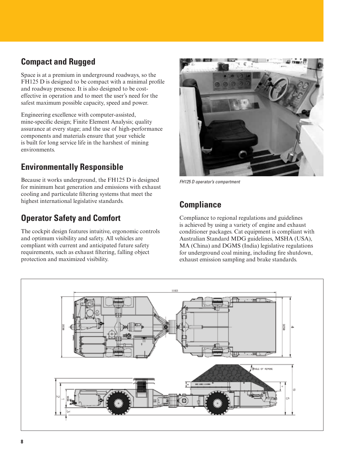### **Compact and Rugged**

Space is at a premium in underground roadways, so the FH125 D is designed to be compact with a minimal profile and roadway presence. It is also designed to be costeffective in operation and to meet the user's need for the safest maximum possible capacity, speed and power.

Engineering excellence with computer-assisted, mine-specific design; Finite Element Analysis; quality assurance at every stage; and the use of high-performance components and materials ensure that your vehicle is built for long service life in the harshest of mining environments.

### **Environmentally Responsible**

Because it works underground, the FH125 D is designed for minimum heat generation and emissions with exhaust cooling and particulate filtering systems that meet the highest international legislative standards.

### **Operator Safety and Comfort**

The cockpit design features intuitive, ergonomic controls and optimum visibility and safety. All vehicles are compliant with current and anticipated future safety requirements, such as exhaust filtering, falling object protection and maximized visibility.



*FH125 D operator's compartment*

### **Compliance**

Compliance to regional regulations and guidelines is achieved by using a variety of engine and exhaust conditioner packages. Cat equipment is compliant with Australian Standard MDG guidelines, MSHA (USA), MA (China) and DGMS (India) legislative regulations for underground coal mining, including fire shutdown, exhaust emission sampling and brake standards.

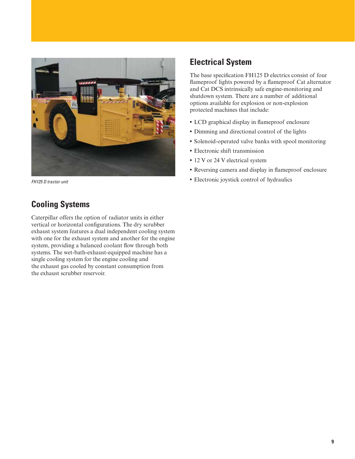

### **Cooling Systems**

Caterpillar offers the option of radiator units in either vertical or horizontal configurations. The dry scrubber exhaust system features a dual independent cooling system with one for the exhaust system and another for the engine system, providing a balanced coolant flow through both systems. The wet-bath-exhaust-equipped machine has a single cooling system for the engine cooling and the exhaust gas cooled by constant consumption from the exhaust scrubber reservoir.

### **Electrical System**

The base specification FH125 D electrics consist of four flameproof lights powered by a flameproof Cat alternator and Cat DCS intrinsically safe engine-monitoring and shutdown system. There are a number of additional options available for explosion or non-explosion protected machines that include:

- **•** LCD graphical display in flameproof enclosure
- **•** Dimming and directional control of the lights
- **•** Solenoid-operated valve banks with spool monitoring
- **•** Electronic shift transmission
- 12 V or 24 V electrical system
- **•** Reversing camera and display in flameproof enclosure
- **•** Electronic joystick control of hydraulics *FH125 D tractor unit*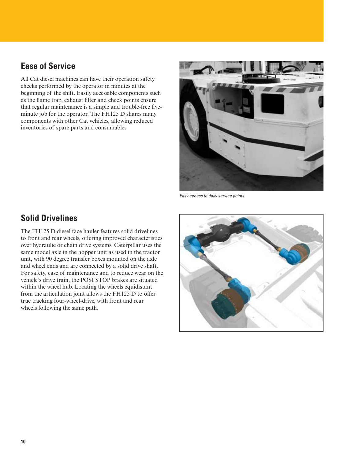### **Ease of Service**

All Cat diesel machines can have their operation safety checks performed by the operator in minutes at the beginning of the shift. Easily accessible components such as the flame trap, exhaust filter and check points ensure that regular maintenance is a simple and trouble-free fiveminute job for the operator. The FH125 D shares many components with other Cat vehicles, allowing reduced inventories of spare parts and consumables.



*Easy access to daily service points*

### **Solid Drivelines**

The FH125 D diesel face hauler features solid drivelines to front and rear wheels, offering improved characteristics over hydraulic or chain drive systems. Caterpillar uses the same model axle in the hopper unit as used in the tractor unit, with 90 degree transfer boxes mounted on the axle and wheel ends and are connected by a solid drive shaft. For safety, ease of maintenance and to reduce wear on the vehicle's drive train, the POSI STOP brakes are situated within the wheel hub. Locating the wheels equidistant from the articulation joint allows the FH125 D to offer true tracking four-wheel-drive, with front and rear wheels following the same path.

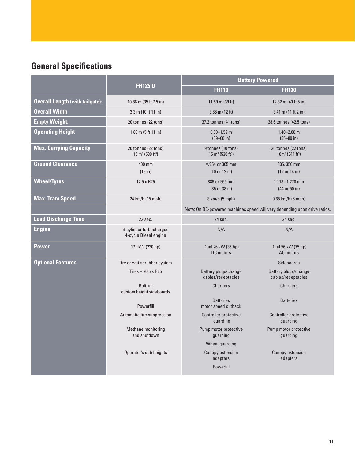## **General Specifications**

|                                        | <b>FH125D</b>                                                  | <b>Battery Powered</b>                                                    |                                                       |
|----------------------------------------|----------------------------------------------------------------|---------------------------------------------------------------------------|-------------------------------------------------------|
|                                        |                                                                | <b>FH110</b>                                                              | <b>FH120</b>                                          |
| <b>Overall Length (with tailgate):</b> | 10.86 m (35 ft 7.5 in)                                         | 11.89 m (39 ft)                                                           | 12.32 m (40 ft 5 in)                                  |
| <b>Overall Width</b>                   | $3.3 \text{ m}$ (10 ft 11 in)                                  | $3.66$ m $(12 ft)$                                                        | $3.41$ m (11 ft 2 in)                                 |
| <b>Empty Weight:</b>                   | 20 tonnes (22 tons)                                            | 37.2 tonnes (41 tons)                                                     | 38.6 tonnes (42.5 tons)                               |
| <b>Operating Height</b>                | $1.80 \text{ m}$ (5 ft 11 in)                                  | $0.99 - 1.52$ m<br>$(39 - 60)$ in)                                        | $1.40 - 2.00$ m<br>$(55 - 80)$ in)                    |
| <b>Max. Carrying Capacity</b>          | 20 tonnes (22 tons)<br>$15 \text{ m}^3$ (530 ft <sup>3</sup> ) | 9 tonnes (10 tons)<br>$15 \text{ m}^3$ (530 ft <sup>3</sup> )             | 20 tonnes (22 tons)<br>$10m^3$ (344 ft <sup>3</sup> ) |
| <b>Ground Clearance</b>                | 400 mm<br>(16 in)                                              | w254 or 305 mm<br>(10 or 12 in)                                           | 305, 356 mm<br>(12 or 14 in)                          |
| <b>Wheel/Tyres</b>                     | 17.5 x R25                                                     | 889 or 965 mm<br>$(35$ or $38$ in)                                        | 1 118, 1 270 mm<br>(44 or 50 in)                      |
| <b>Max. Tram Speed</b>                 | 24 km/h (15 mph)                                               | 8 km/h (5 mph)                                                            | 9.65 km/h (6 mph)                                     |
|                                        |                                                                | Note: On DC-powered machines speed will vary depending upon drive ratios. |                                                       |
| <b>Load Discharge Time</b>             | $22$ sec.                                                      | $24$ sec.                                                                 | 24 sec.                                               |
| <b>Engine</b>                          | 6-cylinder turbocharged<br>4-cycle Diesel engine               | N/A                                                                       | N/A                                                   |
| <b>Power</b>                           | 171 kW (230 hp)                                                | Dual 26 kW (35 hp)<br>DC motors                                           | Dual 56 kW (75 hp)<br>AC motors                       |
| <b>Optional Features</b>               | Dry or wet scrubber system                                     |                                                                           | <b>Sideboards</b>                                     |
|                                        | Tires $-20.5 \times R25$                                       | Battery plugs/change<br>cables/receptacles                                | Battery plugs/change<br>cables/receptacles            |
|                                        | Bolt-on,<br>custom height sideboards                           | Chargers                                                                  | Chargers                                              |
|                                        | Powerfill                                                      | <b>Batteries</b><br>motor speed cutback                                   | <b>Batteries</b>                                      |
|                                        | Automatic fire suppression                                     | <b>Controller protective</b><br>guarding                                  | Controller protective<br>guarding                     |
|                                        | Methane monitoring<br>and shutdown                             | Pump motor protective<br>guarding                                         | Pump motor protective<br>guarding                     |
|                                        |                                                                | Wheel quarding                                                            |                                                       |
|                                        | Operator's cab heights                                         | Canopy extension<br>adapters                                              | Canopy extension<br>adapters                          |
|                                        |                                                                | Powerfill                                                                 |                                                       |